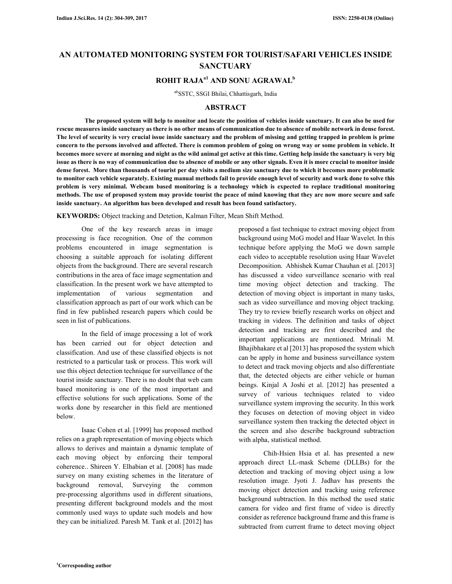# **AN AUTOMATED MONITORING SYSTEM FOR TOURIST/SAFARI VEHICLES INSIDE SANCTUARY**

# **ROHIT RAJAa1 AND SONU AGRAWAL<sup>b</sup>**

abSSTC, SSGI Bhilai, Chhattisgarh, India

### **ABSTRACT**

 **The proposed system will help to monitor and locate the position of vehicles inside sanctuary. It can also be used for rescue measures inside sanctuary as there is no other means of communication due to absence of mobile network in dense forest. The level of security is very crucial issue inside sanctuary and the problem of missing and getting trapped in problem is prime concern to the persons involved and affected. There is common problem of going on wrong way or some problem in vehicle. It becomes more severe at morning and night as the wild animal get active at this time. Getting help inside the sanctuary is very big issue as there is no way of communication due to absence of mobile or any other signals. Even it is more crucial to monitor inside dense forest. More than thousands of tourist per day visits a medium size sanctuary due to which it becomes more problematic to monitor each vehicle separately. Existing manual methods fail to provide enough level of security and work done to solve this problem is very minimal. Webcam based monitoring is a technology which is expected to replace traditional monitoring methods. The use of proposed system may provide tourist the peace of mind knowing that they are now more secure and safe inside sanctuary. An algorithm has been developed and result has been found satisfactory.** 

**KEYWORDS:** Object tracking and Detetion, Kalman Filter, Mean Shift Method.

One of the key research areas in image processing is face recognition. One of the common problems encountered in image segmentation is choosing a suitable approach for isolating different objects from the background. There are several research contributions in the area of face image segmentation and classification. In the present work we have attempted to implementation of various segmentation and classification approach as part of our work which can be find in few published research papers which could be seen in list of publications.

In the field of image processing a lot of work has been carried out for object detection and classification. And use of these classified objects is not restricted to a particular task or process. This work will use this object detection technique for surveillance of the tourist inside sanctuary. There is no doubt that web cam based monitoring is one of the most important and effective solutions for such applications. Some of the works done by researcher in this field are mentioned below.

Isaac Cohen et al. [1999] has proposed method relies on a graph representation of moving objects which allows to derives and maintain a dynamic template of each moving object by enforcing their temporal coherence.. Shireen Y. Elhabian et al. [2008] has made survey on many existing schemes in the literature of background removal, Surveying the common pre-processing algorithms used in different situations, presenting different background models and the most commonly used ways to update such models and how they can be initialized. Paresh M. Tank et al. [2012] has proposed a fast technique to extract moving object from background using MoG model and Haar Wavelet. In this technique before applying the MoG we down sample each video to acceptable resolution using Haar Wavelet Decomposition. Abhishek Kumar Chauhan et al. [2013] has discussed a video surveillance scenario with real time moving object detection and tracking. The detection of moving object is important in many tasks, such as video surveillance and moving object tracking. They try to review briefly research works on object and tracking in videos. The definition and tasks of object detection and tracking are first described and the important applications are mentioned. Mrinali M. Bhajibhakare et al [2013] has proposed the system which can be apply in home and business surveillance system to detect and track moving objects and also differentiate that, the detected objects are either vehicle or human beings. Kinjal A Joshi et al. [2012] has presented a survey of various techniques related to video surveillance system improving the security. In this work they focuses on detection of moving object in video surveillance system then tracking the detected object in the screen and also describe background subtraction with alpha, statistical method.

Chih-Hsien Hsia et al. has presented a new approach direct LL-mask Scheme (DLLBs) for the detection and tracking of moving object using a low resolution image. Jyoti J. Jadhav has presents the moving object detection and tracking using reference background subtraction. In this method the used static camera for video and first frame of video is directly consider as reference background frame and this frame is subtracted from current frame to detect moving object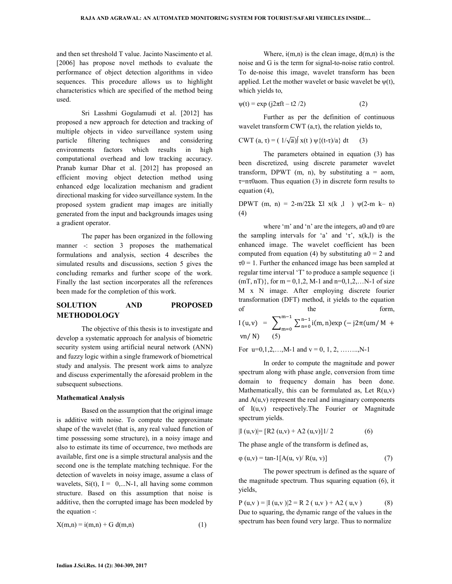and then set threshold T value. Jacinto Nascimento et al. [2006] has propose novel methods to evaluate the performance of object detection algorithms in video sequences. This procedure allows us to highlight characteristics which are specified of the method being used.

Sri Lasshmi Gogulamudi et al. [2012] has proposed a new approach for detection and tracking of multiple objects in video surveillance system using particle filtering techniques and considering environments factors which results in high computational overhead and low tracking accuracy. Pranab kumar Dhar et al. [2012] has proposed an efficient moving object detection method using enhanced edge localization mechanism and gradient directional masking for video surveillance system. In the proposed system gradient map images are initially generated from the input and backgrounds images using a gradient operator.

The paper has been organized in the following manner -: section 3 proposes the mathematical formulations and analysis, section 4 describes the simulated results and discussions, section 5 gives the concluding remarks and further scope of the work. Finally the last section incorporates all the references been made for the completion of this work.

# **SOLUTION AND PROPOSED METHODOLOGY**

The objective of this thesis is to investigate and develop a systematic approach for analysis of biometric security system using artificial neural network (ANN) and fuzzy logic within a single framework of biometrical study and analysis. The present work aims to analyze and discuss experimentally the aforesaid problem in the subsequent subsections.

#### **Mathematical Analysis**

Based on the assumption that the original image is additive with noise. To compute the approximate shape of the wavelet (that is, any real valued function of time possessing some structure), in a noisy image and also to estimate its time of occurrence, two methods are available, first one is a simple structural analysis and the second one is the template matching technique. For the detection of wavelets in noisy image, assume a class of wavelets,  $Si(t)$ ,  $I = 0,...N-1$ , all having some common structure. Based on this assumption that noise is additive, then the corrupted image has been modeled by the equation -:

$$
X(m,n) = i(m,n) + G d(m,n)
$$
\n<sup>(1)</sup>

Where,  $i(m,n)$  is the clean image,  $d(m,n)$  is the noise and G is the term for signal-to-noise ratio control. To de-noise this image, wavelet transform has been applied. Let the mother wavelet or basic wavelet be  $\psi(t)$ , which yields to,

 $\psi(t) = \exp(j2\pi ft - t2/2)$  (2)

Further as per the definition of continuous wavelet transform CWT  $(a, \tau)$ , the relation yields to,

$$
CWT (a, \tau) = (1/\sqrt{a}) \int x(t) \psi \{ (t-\tau)/a \} dt \qquad (3)
$$

The parameters obtained in equation (3) has been discretized, using discrete parameter wavelet transform, DPWT  $(m, n)$ , by substituting  $a = a$ om,  $\tau$ =n $\tau$ Oaom. Thus equation (3) in discrete form results to equation (4),

DPWT (m, n) = 2-m/2Σk Σl x(k, l)  $\psi$ (2-m k– n) (4)

where 'm' and 'n' are the integers, a0 and τ0 are the sampling intervals for 'a' and ' $\tau$ ',  $x(k, l)$  is the enhanced image. The wavelet coefficient has been computed from equation (4) by substituting  $a0 = 2$  and  $\tau$ 0 = 1. Further the enhanced image has been sampled at regular time interval 'T' to produce a sample sequence {i  $(mT, nT)$ , for m = 0,1,2, M-1 and n=0,1,2,...N-1 of size M x N image. After employing discrete fourier transformation (DFT) method, it yields to the equation of the form,

I (u, v) = 
$$
\sum_{m=0}^{m-1} \sum_{n=0}^{n-1} i(m, n) \exp(-j2\pi(um/M + vn/N))
$$
 (5)

For u=0,1,2,…,M-1 and v = 0, 1, 2, ……..,N-1

In order to compute the magnitude and power spectrum along with phase angle, conversion from time domain to frequency domain has been done. Mathematically, this can be formulated as, Let  $R(u,v)$ and  $A(u, v)$  represent the real and imaginary components of I(u,v) respectively.The Fourier or Magnitude spectrum yields.

$$
|\mathbf{I}(u, v)| = [\mathbf{R2}(u, v) + \mathbf{A2}(u, v)]1/2 \tag{6}
$$

The phase angle of the transform is defined as,

$$
\varphi(u, v) = \tan^{-1}[A(u, v) / R(u, v)]
$$
\n(7)

The power spectrum is defined as the square of the magnitude spectrum. Thus squaring equation (6), it yields,

 $P (u,v) = |I (u,v)|^2 = R 2 (u,v) + A2 (u,v)$  (8) Due to squaring, the dynamic range of the values in the spectrum has been found very large. Thus to normalize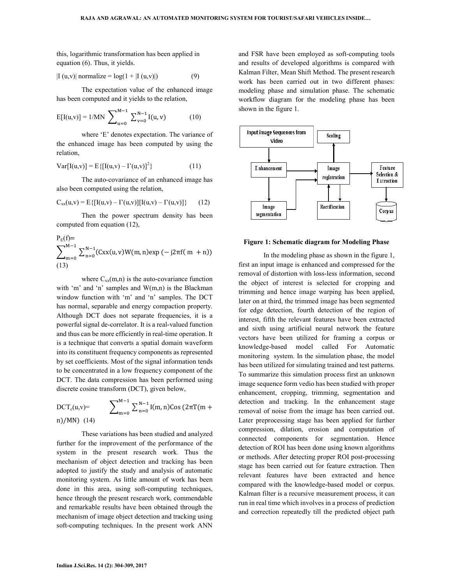this, logarithmic transformation has been applied in equation (6). Thus, it yields.

$$
|I (u,v)| \text{ normalize} = \log(1 + |I (u,v)|)
$$
 (9)

The expectation value of the enhanced image has been computed and it yields to the relation,

$$
E[I(u,v)] = 1/MN \sum_{u=0}^{M-1} \sum_{v=0}^{N-1} I(u,v)
$$
 (10)

where 'E' denotes expectation. The variance of the enhanced image has been computed by using the relation,

Var[I(u,v)] = E{[I(u,v) – I'(u,v)]<sup>2</sup> } (11)

The auto-covariance of an enhanced image has also been computed using the relation,

$$
C_{xx}(u,v) = E\{[I(u,v) - I'(u,v)][I(u,v) - I'(u,v)]\}
$$
 (12)

Then the power spectrum density has been computed from equation (12),

P<sub>E</sub>(f)=  
\n
$$
\sum_{m=0}^{M-1} \sum_{n=0}^{N-1} (Cxx(u, v)W(m, n)exp(-j2πf(m + n))
$$
\n(13)

where  $C_{xx}(m,n)$  is the auto-covariance function with 'm' and 'n' samples and W(m,n) is the Blackman window function with 'm' and 'n' samples. The DCT has normal, separable and energy compaction property. Although DCT does not separate frequencies, it is a powerful signal de-correlator. It is a real-valued function and thus can be more efficiently in real-time operation. It is a technique that converts a spatial domain waveform into its constituent frequency components as represented by set coefficients. Most of the signal information tends to be concentrated in a low frequency component of the DCT. The data compression has been performed using discrete cosine transform (DCT), given below,

DCT<sub>c</sub>(u,v)=  
\nm)/MN (14) 
$$
\sum_{m=0}^{M-1} \sum_{n=0}^{N-1} I(m,n) \cos (2\pi T(m +
$$

These variations has been studied and analyzed further for the improvement of the performance of the system in the present research work. Thus the mechanism of object detection and tracking has been adopted to justify the study and analysis of automatic monitoring system. As little amount of work has been done in this area, using soft-computing techniques, hence through the present research work, commendable and remarkable results have been obtained through the mechanism of image object detection and tracking using soft-computing techniques. In the present work ANN

and FSR have been employed as soft-computing tools and results of developed algorithms is compared with Kalman Filter, Mean Shift Method. The present research work has been carried out in two different phases: modeling phase and simulation phase. The schematic workflow diagram for the modeling phase has been shown in the figure 1.



#### **Figure 1: Schematic diagram for Modeling Phase**

In the modeling phase as shown in the figure 1, first an input image is enhanced and compressed for the removal of distortion with loss-less information, second the object of interest is selected for cropping and trimming and hence image warping has been applied, later on at third, the trimmed image has been segmented for edge detection, fourth detection of the region of interest, fifth the relevant features have been extracted and sixth using artificial neural network the feature vectors have been utilized for framing a corpus or knowledge-based model called For Automatic monitoring system. In the simulation phase, the model has been utilized for simulating trained and test patterns. To summarize this simulation process first an unknown image sequence form vedio has been studied with proper enhancement, cropping, trimming, segmentation and detection and tracking. In the enhancement stage removal of noise from the image has been carried out. Later preprocessing stage has been applied for further compression, dilation, erosion and computation of connected components for segmentation. Hence detection of ROI has been done using known algorithms or methods. After detecting proper ROI post-processing stage has been carried out for feature extraction. Then relevant features have been extracted and hence compared with the knowledge-based model or corpus. Kalman filter is a recursive measurement process, it can run in real time which involves in a process of prediction and correction repeatedly till the predicted object path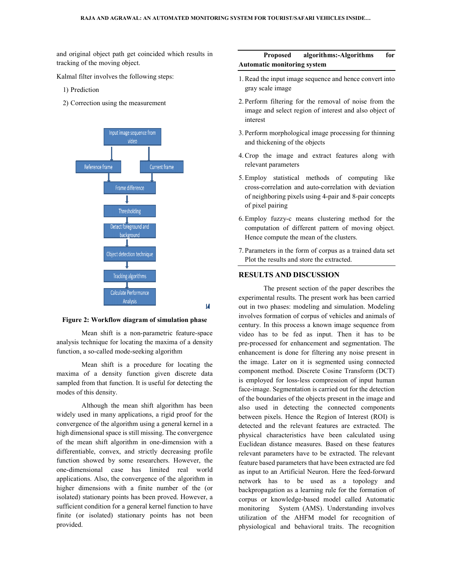and original object path get coincided which results in tracking of the moving object.

Kalmal filter involves the following steps:

- 1) Prediction
- 2) Correction using the measurement



**Figure 2: Workflow diagram of simulation phase**

Mean shift is a non-parametric feature-space analysis technique for locating the maxima of a density function, a so-called mode-seeking algorithm

Mean shift is a procedure for locating the maxima of a density function given discrete data sampled from that function. It is useful for detecting the modes of this density. for a so-called mode-seeking algorithm<br>high a so-called mode-seeking algorithm<br>Mean shift is a procedure for locating the<br>of a density function given discrete data<br>from that function. It is useful for detecting the

Although the mean shift algorithm has been widely used in many applications, a rigid proof for the convergence of the algorithm using a general kernel in a high dimensional space is still missing. The convergence of the mean shift algorithm in one-dimension with a differentiable, convex, and strictly decreasing profile function showed by some researchers. However, the one-dimensional case has limited real world applications. Also, the convergence of the algorithm in higher dimensions with a finite number of the (or isolated) stationary points has been proved. However, a sufficient condition for a general kernel function to have finite (or isolated) stationary points has not been provided. Although the mean shift algorithm has been widely used in many applications, a rigid proof for the convergence of the algorithm using a general kernel in a high dimensional space is still missing. The convergence of the me

### **Proposed algorithms: algorithms:-Algorithms for Automatic monitoring system**

- 1.Read the input image sequence and hence convert into gray scale image
- 2. Perform filtering for the removal of noise from the image and select region of interest and also object of interest Perform filtering for the removal of noise from the<br>image and select region of interest and also object of<br>interest<br>Perform morphological image processing for thinning<br>and thickening of the objects<br>Crop the image and extra
- 3. Perform morphological image processing for thinning and thickening of the objects
- 4.Crop the image and extract features along with relevant parameters
- 5. Employ statistical methods of computing like cross-correlation and auto-correlation with deviation of neighboring pixels using 4-pai of pixel pairing
- 6. Employ fuzzy-c means clustering method for the Employ fuzzy-c means clustering method for the computation of different pattern of moving object. Hence compute the mean of the clusters.
- 7. Parameters in the form of corpus as a trained data set Plot the results and store the extracted.

#### **RESULTS AND DISCUSSION**

The present section of the paper describes the experimental results. The present work has been carried out in two phases: modeling and simulation. Modeling involves formation of corpus of vehicles and animals of century. In this process a known image video has to be fed as input. Then it has to be pre-processed for enhancement and segmentation. The enhancement is done for filtering any noise present in the image. Later on it is segmented using connected component method. Discrete Cosine Transform (DCT) is employed for loss-less compression of input human face-image. Segmentation is carried out for the detection of the boundaries of the objects present in the image and also used in detecting the connected components between pixels. Hence the Region of Interest (ROI) is detected and the relevant features are extracted. The physical characteristics have been calculated using Euclidean distance measures. Based on these features relevant parameters have to be extracted. The relevant feature based parameters that have been extracted are fed as input to an Artificial Neuron. Here the feed network has to be used as a topology and backpropagation as a learning rule for the formation of corpus or knowledge-based model called Automatic monitoring System (AMS). Understanding involves utilization of the AHFM model for recognition of physiological and behavioral traits. The recognit mean of the clusters.<br>
orm of corpus as a trained data set<br>
store the extracted.<br> **ISCUSSION**<br>
section of the paper describes the<br>
The present work has been carried<br>
odeling and simulation. Modeling<br>
corpus of vehicles and video has to be fed as input. Then it has to be<br>pre-processed for enhancement and segmentation. The<br>enhancement is done for filtering any noise present in<br>the image. Later on it is segmented using connected<br>component metho backpropagation as a learning rule for the formation of corpus or knowledge-based model called Automatic monitoring System (AMS). Understanding involves utilization of the AHFM model for recognition of physiological and be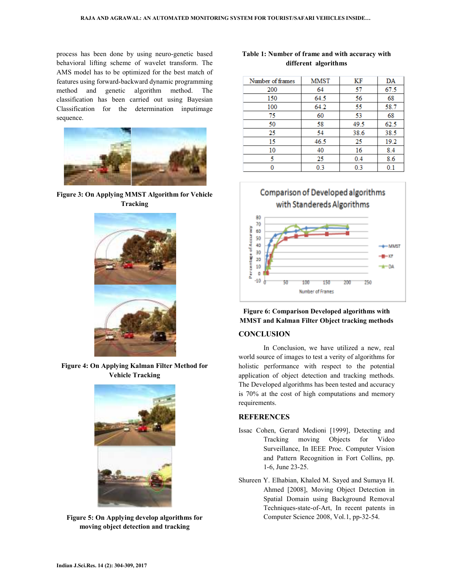process has been done by using neuro-genetic based behavioral lifting scheme of wavelet transform. The AMS model has to be optimized for the best match of features using forward-backward dynamic programming method and genetic algorithm method. The classification has been carried out using Bayesian Classification for the determination inputimage sequence.



**Figure 3: On Applying MMST Algorithm for Vehicle Tracking** 



**Figure 4: On Applying Kalman Filter Method for Vehicle Tracking** 



**Figure 5: On Applying develop algorithms for moving object detection and tracking** 

## **Table 1: Number of frame and with accuracy with different algorithms**

| Number of frames | <b>MMST</b> | ΚF   | DA   |
|------------------|-------------|------|------|
| 200              | 64          | 57   | 67.5 |
| 150              | 64.5        | 56   | 68   |
| 100              | 64.2        | 55   | 58.7 |
| 75               | 60          | 53   | 68   |
| 50               | 58          | 49.5 | 62.5 |
| 25               | 54          | 38.6 | 38.5 |
| 15               | 46.5        | 25   | 19.2 |
| 10               | 40          | 16   | 8.4  |
| 5                | 25          | 0.4  | 8.6  |
|                  | 0.3         | 0.3  | 0.1  |





## **Figure 6: Comparison Developed algorithms with MMST and Kalman Filter Object tracking methods**

### **CONCLUSION**

In Conclusion, we have utilized a new, real world source of images to test a verity of algorithms for holistic performance with respect to the potential application of object detection and tracking methods. The Developed algorithms has been tested and accuracy is 70% at the cost of high computations and memory requirements.

#### **REFERENCES**

- Issac Cohen, Gerard Medioni [1999], Detecting and Tracking moving Objects for Video Surveillance, In IEEE Proc. Computer Vision and Pattern Recognition in Fort Collins, pp. 1-6, June 23-25.
- Shureen Y. Elhabian, Khaled M. Sayed and Sumaya H. Ahmed [2008], Moving Object Detection in Spatial Domain using Background Removal Techniques-state-of-Art, In recent patents in Computer Science 2008, Vol.1, pp-32-54.